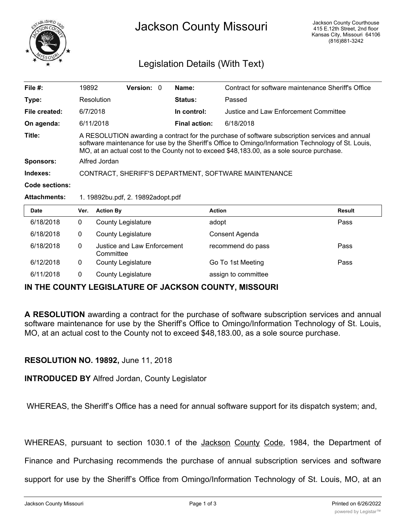

## Legislation Details (With Text)

| File $#$ :          | 19892                                                                                                                                                                                                                                                                                              | <b>Version: 0</b> |             | Name:                                 | Contract for software maintenance Sheriff's Office |
|---------------------|----------------------------------------------------------------------------------------------------------------------------------------------------------------------------------------------------------------------------------------------------------------------------------------------------|-------------------|-------------|---------------------------------------|----------------------------------------------------|
| Type:               | Resolution                                                                                                                                                                                                                                                                                         |                   |             | <b>Status:</b>                        | Passed                                             |
| File created:       | 6/7/2018                                                                                                                                                                                                                                                                                           |                   | In control: | Justice and Law Enforcement Committee |                                                    |
| On agenda:          | 6/11/2018                                                                                                                                                                                                                                                                                          |                   |             | <b>Final action:</b>                  | 6/18/2018                                          |
| Title:              | A RESOLUTION awarding a contract for the purchase of software subscription services and annual<br>software maintenance for use by the Sheriff's Office to Omingo/Information Technology of St. Louis,<br>MO, at an actual cost to the County not to exceed \$48,183.00, as a sole source purchase. |                   |             |                                       |                                                    |
| <b>Sponsors:</b>    | Alfred Jordan                                                                                                                                                                                                                                                                                      |                   |             |                                       |                                                    |
| Indexes:            | CONTRACT, SHERIFF'S DEPARTMENT, SOFTWARE MAINTENANCE                                                                                                                                                                                                                                               |                   |             |                                       |                                                    |
| Code sections:      |                                                                                                                                                                                                                                                                                                    |                   |             |                                       |                                                    |
| <b>Attachments:</b> | 1. 19892bu.pdf, 2. 19892adopt.pdf                                                                                                                                                                                                                                                                  |                   |             |                                       |                                                    |

| <b>Date</b> | Ver. | <b>Action By</b>                         | <b>Action</b>       | Result |
|-------------|------|------------------------------------------|---------------------|--------|
| 6/18/2018   | 0    | <b>County Legislature</b>                | adopt               | Pass   |
| 6/18/2018   | 0    | <b>County Legislature</b>                | Consent Agenda      |        |
| 6/18/2018   | 0    | Justice and Law Enforcement<br>Committee | recommend do pass   | Pass   |
| 6/12/2018   | 0    | <b>County Legislature</b>                | Go To 1st Meeting   | Pass   |
| 6/11/2018   |      | <b>County Legislature</b>                | assign to committee |        |

## **IN THE COUNTY LEGISLATURE OF JACKSON COUNTY, MISSOURI**

**A RESOLUTION** awarding a contract for the purchase of software subscription services and annual software maintenance for use by the Sheriff's Office to Omingo/Information Technology of St. Louis, MO, at an actual cost to the County not to exceed \$48,183.00, as a sole source purchase.

## **RESOLUTION NO. 19892,** June 11, 2018

**INTRODUCED BY** Alfred Jordan, County Legislator

WHEREAS, the Sheriff's Office has a need for annual software support for its dispatch system; and,

WHEREAS, pursuant to section 1030.1 of the Jackson County Code, 1984, the Department of

Finance and Purchasing recommends the purchase of annual subscription services and software

support for use by the Sheriff's Office from Omingo/Information Technology of St. Louis, MO, at an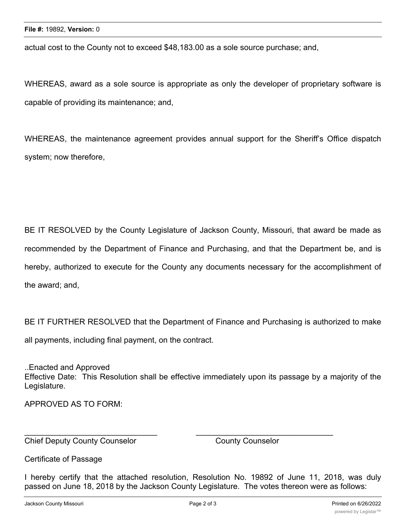actual cost to the County not to exceed \$48,183.00 as a sole source purchase; and,

WHEREAS, award as a sole source is appropriate as only the developer of proprietary software is capable of providing its maintenance; and,

WHEREAS, the maintenance agreement provides annual support for the Sheriff's Office dispatch system; now therefore,

BE IT RESOLVED by the County Legislature of Jackson County, Missouri, that award be made as recommended by the Department of Finance and Purchasing, and that the Department be, and is hereby, authorized to execute for the County any documents necessary for the accomplishment of the award; and,

BE IT FURTHER RESOLVED that the Department of Finance and Purchasing is authorized to make all payments, including final payment, on the contract.

..Enacted and Approved Effective Date: This Resolution shall be effective immediately upon its passage by a majority of the Legislature.

APPROVED AS TO FORM:

Chief Deputy County Counselor County Counselor

Certificate of Passage

I hereby certify that the attached resolution, Resolution No. 19892 of June 11, 2018, was duly passed on June 18, 2018 by the Jackson County Legislature. The votes thereon were as follows:

 $\overline{\phantom{a}}$  , and the contribution of the contribution of  $\overline{\phantom{a}}$  , and  $\overline{\phantom{a}}$  , and  $\overline{\phantom{a}}$  , and  $\overline{\phantom{a}}$  , and  $\overline{\phantom{a}}$  , and  $\overline{\phantom{a}}$  , and  $\overline{\phantom{a}}$  , and  $\overline{\phantom{a}}$  , and  $\overline{\phantom{a}}$  , and